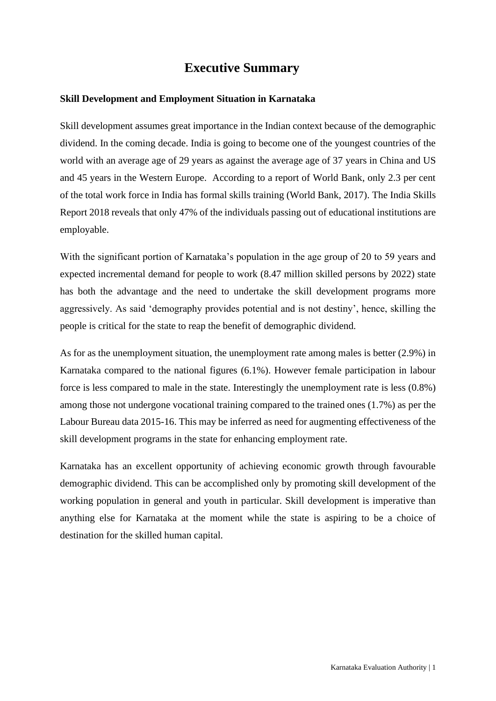# **Executive Summary**

# **Skill Development and Employment Situation in Karnataka**

Skill development assumes great importance in the Indian context because of the demographic dividend. In the coming decade. India is going to become one of the youngest countries of the world with an average age of 29 years as against the average age of 37 years in China and US and 45 years in the Western Europe. According to a report of World Bank, only 2.3 per cent of the total work force in India has formal skills training (World Bank, 2017). The India Skills Report 2018 reveals that only 47% of the individuals passing out of educational institutions are employable.

With the significant portion of Karnataka's population in the age group of 20 to 59 years and expected incremental demand for people to work (8.47 million skilled persons by 2022) state has both the advantage and the need to undertake the skill development programs more aggressively. As said 'demography provides potential and is not destiny', hence, skilling the people is critical for the state to reap the benefit of demographic dividend.

As for as the unemployment situation, the unemployment rate among males is better (2.9%) in Karnataka compared to the national figures (6.1%). However female participation in labour force is less compared to male in the state. Interestingly the unemployment rate is less (0.8%) among those not undergone vocational training compared to the trained ones (1.7%) as per the Labour Bureau data 2015-16. This may be inferred as need for augmenting effectiveness of the skill development programs in the state for enhancing employment rate.

Karnataka has an excellent opportunity of achieving economic growth through favourable demographic dividend. This can be accomplished only by promoting skill development of the working population in general and youth in particular. Skill development is imperative than anything else for Karnataka at the moment while the state is aspiring to be a choice of destination for the skilled human capital.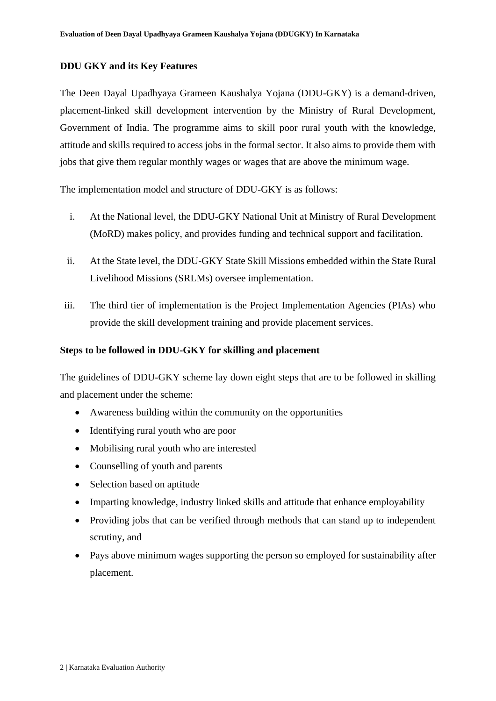# **DDU GKY and its Key Features**

The Deen Dayal Upadhyaya Grameen Kaushalya Yojana (DDU-GKY) is a demand-driven, placement-linked skill development intervention by the Ministry of Rural Development, Government of India. The programme aims to skill poor rural youth with the knowledge, attitude and skills required to access jobs in the formal sector. It also aims to provide them with jobs that give them regular monthly wages or wages that are above the minimum wage.

The implementation model and structure of DDU-GKY is as follows:

- i. At the National level, the DDU-GKY National Unit at Ministry of Rural Development (MoRD) makes policy, and provides funding and technical support and facilitation.
- ii. At the State level, the DDU-GKY State Skill Missions embedded within the State Rural Livelihood Missions (SRLMs) oversee implementation.
- iii. The third tier of implementation is the Project Implementation Agencies (PIAs) who provide the skill development training and provide placement services.

### **Steps to be followed in DDU-GKY for skilling and placement**

The guidelines of DDU-GKY scheme lay down eight steps that are to be followed in skilling and placement under the scheme:

- Awareness building within the community on the opportunities
- Identifying rural youth who are poor
- Mobilising rural youth who are interested
- Counselling of youth and parents
- Selection based on aptitude
- Imparting knowledge, industry linked skills and attitude that enhance employability
- Providing jobs that can be verified through methods that can stand up to independent scrutiny, and
- Pays above minimum wages supporting the person so employed for sustainability after placement.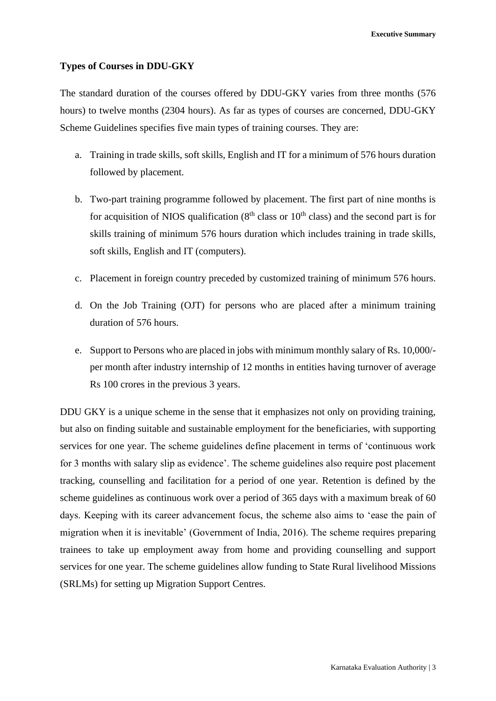**Executive Summary**

#### **Types of Courses in DDU-GKY**

The standard duration of the courses offered by DDU-GKY varies from three months (576 hours) to twelve months (2304 hours). As far as types of courses are concerned, DDU-GKY Scheme Guidelines specifies five main types of training courses. They are:

- a. Training in trade skills, soft skills, English and IT for a minimum of 576 hours duration followed by placement.
- b. Two-part training programme followed by placement. The first part of nine months is for acquisition of NIOS qualification  $(8<sup>th</sup>$  class or  $10<sup>th</sup>$  class) and the second part is for skills training of minimum 576 hours duration which includes training in trade skills, soft skills, English and IT (computers).
- c. Placement in foreign country preceded by customized training of minimum 576 hours.
- d. On the Job Training (OJT) for persons who are placed after a minimum training duration of 576 hours.
- e. Support to Persons who are placed in jobs with minimum monthly salary of Rs. 10,000/ per month after industry internship of 12 months in entities having turnover of average Rs 100 crores in the previous 3 years.

DDU GKY is a unique scheme in the sense that it emphasizes not only on providing training, but also on finding suitable and sustainable employment for the beneficiaries, with supporting services for one year. The scheme guidelines define placement in terms of 'continuous work for 3 months with salary slip as evidence'. The scheme guidelines also require post placement tracking, counselling and facilitation for a period of one year. Retention is defined by the scheme guidelines as continuous work over a period of 365 days with a maximum break of 60 days. Keeping with its career advancement focus, the scheme also aims to 'ease the pain of migration when it is inevitable' (Government of India, 2016). The scheme requires preparing trainees to take up employment away from home and providing counselling and support services for one year. The scheme guidelines allow funding to State Rural livelihood Missions (SRLMs) for setting up Migration Support Centres.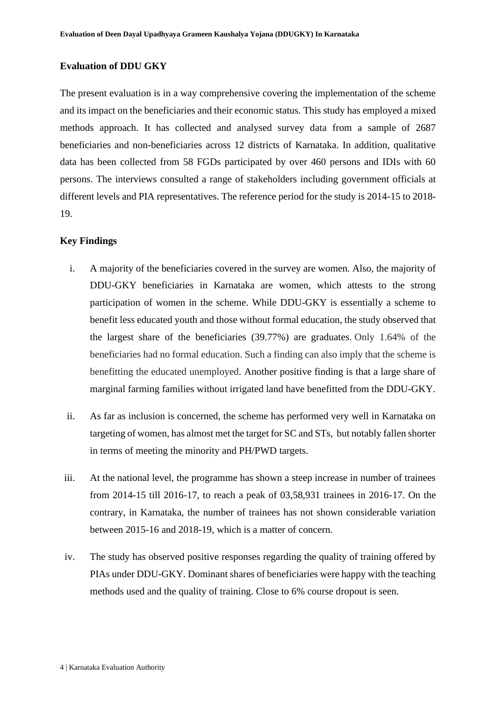#### **Evaluation of DDU GKY**

The present evaluation is in a way comprehensive covering the implementation of the scheme and its impact on the beneficiaries and their economic status. This study has employed a mixed methods approach. It has collected and analysed survey data from a sample of 2687 beneficiaries and non-beneficiaries across 12 districts of Karnataka. In addition, qualitative data has been collected from 58 FGDs participated by over 460 persons and IDIs with 60 persons. The interviews consulted a range of stakeholders including government officials at different levels and PIA representatives. The reference period for the study is 2014-15 to 2018- 19.

#### **Key Findings**

- i. A majority of the beneficiaries covered in the survey are women. Also, the majority of DDU-GKY beneficiaries in Karnataka are women, which attests to the strong participation of women in the scheme. While DDU-GKY is essentially a scheme to benefit less educated youth and those without formal education, the study observed that the largest share of the beneficiaries (39.77%) are graduates. Only 1.64% of the beneficiaries had no formal education. Such a finding can also imply that the scheme is benefitting the educated unemployed. Another positive finding is that a large share of marginal farming families without irrigated land have benefitted from the DDU-GKY.
- ii. As far as inclusion is concerned, the scheme has performed very well in Karnataka on targeting of women, has almost met the target for SC and STs, but notably fallen shorter in terms of meeting the minority and PH/PWD targets.
- iii. At the national level, the programme has shown a steep increase in number of trainees from 2014-15 till 2016-17, to reach a peak of 03,58,931 trainees in 2016-17. On the contrary, in Karnataka, the number of trainees has not shown considerable variation between 2015-16 and 2018-19, which is a matter of concern.
- iv. The study has observed positive responses regarding the quality of training offered by PIAs under DDU-GKY. Dominant shares of beneficiaries were happy with the teaching methods used and the quality of training. Close to 6% course dropout is seen.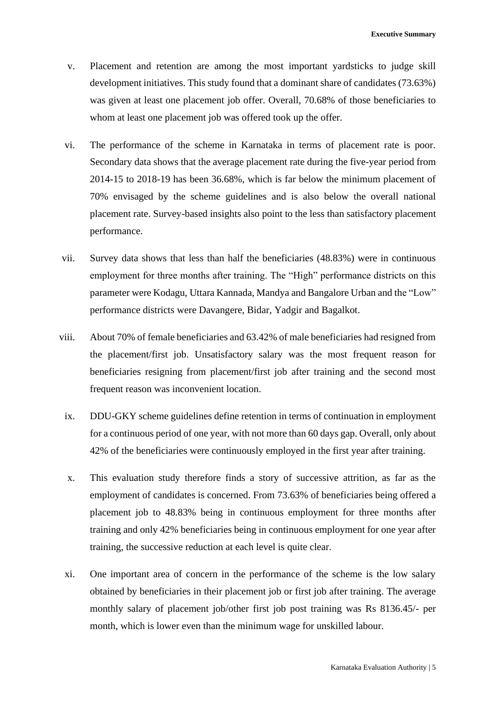- v. Placement and retention are among the most important yardsticks to judge skill development initiatives. This study found that a dominant share of candidates (73.63%) was given at least one placement job offer. Overall, 70.68% of those beneficiaries to whom at least one placement job was offered took up the offer.
- vi. The performance of the scheme in Karnataka in terms of placement rate is poor. Secondary data shows that the average placement rate during the five-year period from 2014-15 to 2018-19 has been 36.68%, which is far below the minimum placement of 70% envisaged by the scheme guidelines and is also below the overall national placement rate. Survey-based insights also point to the less than satisfactory placement performance.
- vii. Survey data shows that less than half the beneficiaries (48.83%) were in continuous employment for three months after training. The "High" performance districts on this parameter were Kodagu, Uttara Kannada, Mandya and Bangalore Urban and the "Low" performance districts were Davangere, Bidar, Yadgir and Bagalkot.
- viii. About 70% of female beneficiaries and 63.42% of male beneficiaries had resigned from the placement/first job. Unsatisfactory salary was the most frequent reason for beneficiaries resigning from placement/first job after training and the second most frequent reason was inconvenient location.
	- ix. DDU-GKY scheme guidelines define retention in terms of continuation in employment for a continuous period of one year, with not more than 60 days gap. Overall, only about 42% of the beneficiaries were continuously employed in the first year after training.
	- x. This evaluation study therefore finds a story of successive attrition, as far as the employment of candidates is concerned. From 73.63% of beneficiaries being offered a placement job to 48.83% being in continuous employment for three months after training and only 42% beneficiaries being in continuous employment for one year after training, the successive reduction at each level is quite clear.
	- xi. One important area of concern in the performance of the scheme is the low salary obtained by beneficiaries in their placement job or first job after training. The average monthly salary of placement job/other first job post training was Rs 8136.45/- per month, which is lower even than the minimum wage for unskilled labour.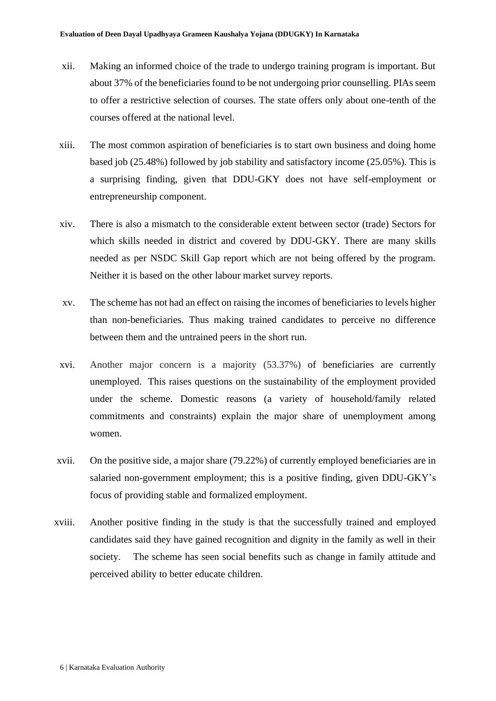- xii. Making an informed choice of the trade to undergo training program is important. But about 37% of the beneficiaries found to be not undergoing prior counselling. PIAs seem to offer a restrictive selection of courses. The state offers only about one-tenth of the courses offered at the national level.
- xiii. The most common aspiration of beneficiaries is to start own business and doing home based job (25.48%) followed by job stability and satisfactory income (25.05%). This is a surprising finding, given that DDU-GKY does not have self-employment or entrepreneurship component.
- xiv. There is also a mismatch to the considerable extent between sector (trade) Sectors for which skills needed in district and covered by DDU-GKY. There are many skills needed as per NSDC Skill Gap report which are not being offered by the program. Neither it is based on the other labour market survey reports.
- xv. The scheme has not had an effect on raising the incomes of beneficiaries to levels higher than non-beneficiaries. Thus making trained candidates to perceive no difference between them and the untrained peers in the short run.
- xvi. Another major concern is a majority (53.37%) of beneficiaries are currently unemployed. This raises questions on the sustainability of the employment provided under the scheme. Domestic reasons (a variety of household/family related commitments and constraints) explain the major share of unemployment among women.
- xvii. On the positive side, a major share (79.22%) of currently employed beneficiaries are in salaried non-government employment; this is a positive finding, given DDU-GKY's focus of providing stable and formalized employment.
- xviii. Another positive finding in the study is that the successfully trained and employed candidates said they have gained recognition and dignity in the family as well in their society. The scheme has seen social benefits such as change in family attitude and perceived ability to better educate children.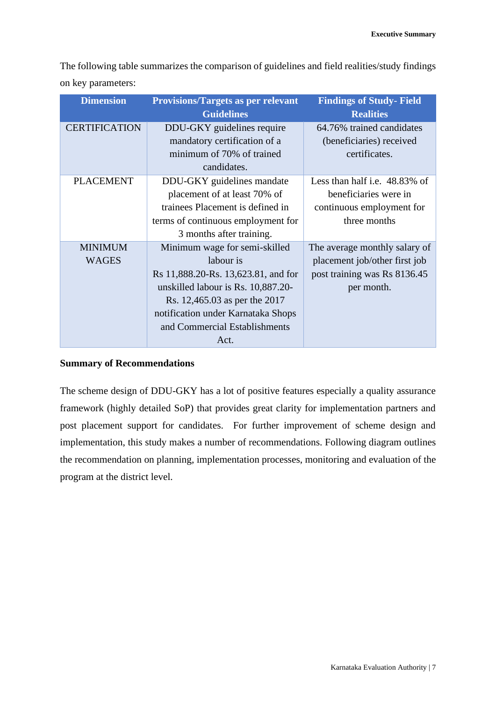The following table summarizes the comparison of guidelines and field realities/study findings on key parameters:

| <b>Dimension</b>     | <b>Provisions/Targets as per relevant</b> | <b>Findings of Study-Field</b> |
|----------------------|-------------------------------------------|--------------------------------|
|                      | <b>Guidelines</b>                         | <b>Realities</b>               |
| <b>CERTIFICATION</b> | DDU-GKY guidelines require                | 64.76% trained candidates      |
|                      | mandatory certification of a              | (beneficiaries) received       |
|                      | minimum of 70% of trained                 | certificates.                  |
|                      | candidates.                               |                                |
| <b>PLACEMENT</b>     | DDU-GKY guidelines mandate                | Less than half i.e. 48.83% of  |
|                      | placement of at least 70% of              | beneficiaries were in          |
|                      | trainees Placement is defined in          | continuous employment for      |
|                      | terms of continuous employment for        | three months                   |
|                      | 3 months after training.                  |                                |
| <b>MINIMUM</b>       | Minimum wage for semi-skilled             | The average monthly salary of  |
| <b>WAGES</b>         | labour is                                 | placement job/other first job  |
|                      | Rs 11,888.20-Rs. 13,623.81, and for       | post training was Rs 8136.45   |
|                      | unskilled labour is Rs. 10,887.20-        | per month.                     |
|                      | Rs. 12,465.03 as per the 2017             |                                |
|                      | notification under Karnataka Shops        |                                |
|                      | and Commercial Establishments             |                                |
|                      | Act.                                      |                                |

### **Summary of Recommendations**

The scheme design of DDU-GKY has a lot of positive features especially a quality assurance framework (highly detailed SoP) that provides great clarity for implementation partners and post placement support for candidates. For further improvement of scheme design and implementation, this study makes a number of recommendations. Following diagram outlines the recommendation on planning, implementation processes, monitoring and evaluation of the program at the district level.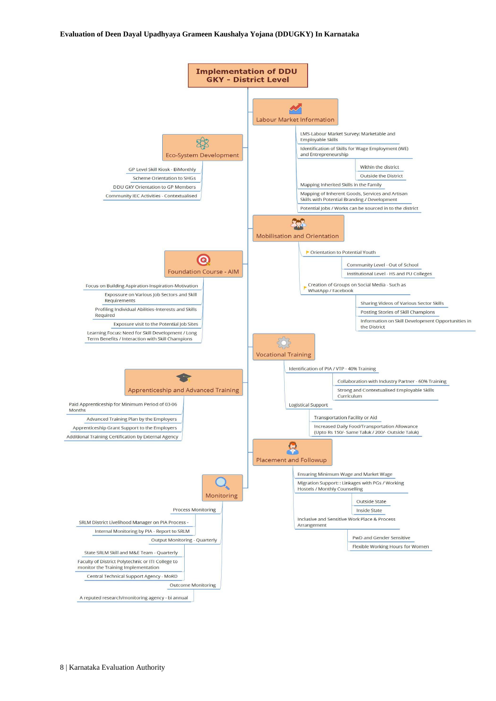#### **Evaluation of Deen Dayal Upadhyaya Grameen Kaushalya Yojana (DDUGKY) In Karnataka**

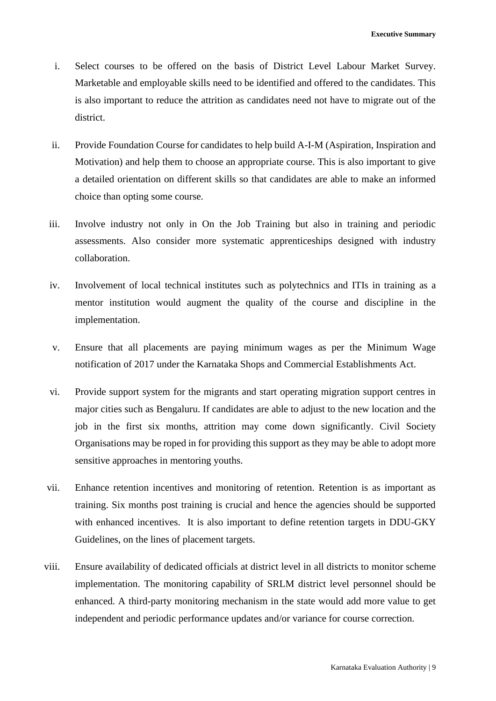- i. Select courses to be offered on the basis of District Level Labour Market Survey. Marketable and employable skills need to be identified and offered to the candidates. This is also important to reduce the attrition as candidates need not have to migrate out of the district.
- ii. Provide Foundation Course for candidates to help build A-I-M (Aspiration, Inspiration and Motivation) and help them to choose an appropriate course. This is also important to give a detailed orientation on different skills so that candidates are able to make an informed choice than opting some course.
- iii. Involve industry not only in On the Job Training but also in training and periodic assessments. Also consider more systematic apprenticeships designed with industry collaboration.
- iv. Involvement of local technical institutes such as polytechnics and ITIs in training as a mentor institution would augment the quality of the course and discipline in the implementation.
- v. Ensure that all placements are paying minimum wages as per the Minimum Wage notification of 2017 under the Karnataka Shops and Commercial Establishments Act.
- vi. Provide support system for the migrants and start operating migration support centres in major cities such as Bengaluru. If candidates are able to adjust to the new location and the job in the first six months, attrition may come down significantly. Civil Society Organisations may be roped in for providing this support as they may be able to adopt more sensitive approaches in mentoring youths.
- vii. Enhance retention incentives and monitoring of retention. Retention is as important as training. Six months post training is crucial and hence the agencies should be supported with enhanced incentives. It is also important to define retention targets in DDU-GKY Guidelines, on the lines of placement targets.
- viii. Ensure availability of dedicated officials at district level in all districts to monitor scheme implementation. The monitoring capability of SRLM district level personnel should be enhanced. A third-party monitoring mechanism in the state would add more value to get independent and periodic performance updates and/or variance for course correction.